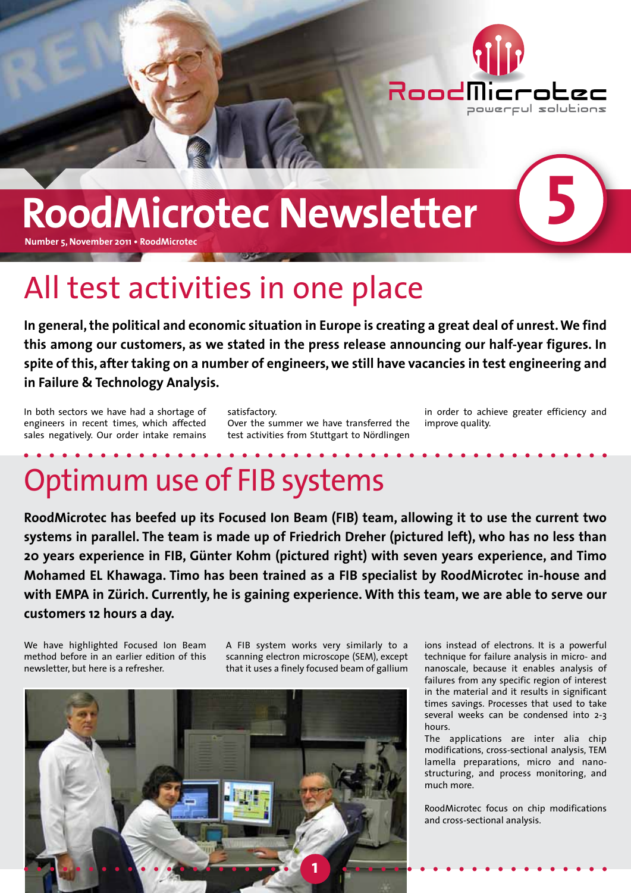

# **RoodMicrotec Newsletter**

**Number 5, November 2011 • RoodMicrotec**

## All test activities in one place

**In general, the political and economic situation in Europe is creating a great deal of unrest. We find this among our customers, as we stated in the press release announcing our half-year figures. In spite of this, after taking on a number of engineers, we still have vacancies in test engineering and in Failure & Technology Analysis.** 

In both sectors we have had a shortage of engineers in recent times, which affected sales negatively. Our order intake remains

satisfactory. Over the summer we have transferred the test activities from Stuttgart to Nördlingen

in order to achieve greater efficiency and improve quality.

**5**

## Optimum use of FIB systems

**RoodMicrotec has beefed up its Focused Ion Beam (FIB) team, allowing it to use the current two systems in parallel. The team is made up of Friedrich Dreher (pictured left), who has no less than 20 years experience in FIB, Günter Kohm (pictured right) with seven years experience, and Timo Mohamed EL Khawaga. Timo has been trained as a FIB specialist by RoodMicrotec in-house and with EMPA in Zürich. Currently, he is gaining experience. With this team, we are able to serve our customers 12 hours a day.**

We have highlighted Focused Ion Beam method before in an earlier edition of this newsletter, but here is a refresher.

A FIB system works very similarly to a scanning electron microscope (SEM), except that it uses a finely focused beam of gallium



ions instead of electrons. It is a powerful technique for failure analysis in micro- and nanoscale, because it enables analysis of failures from any specific region of interest in the material and it results in significant times savings. Processes that used to take several weeks can be condensed into 2-3 hours.

The applications are inter alia chip modifications, cross-sectional analysis, TEM lamella preparations, micro and nanostructuring, and process monitoring, and much more.

RoodMicrotec focus on chip modifications and cross-sectional analysis.